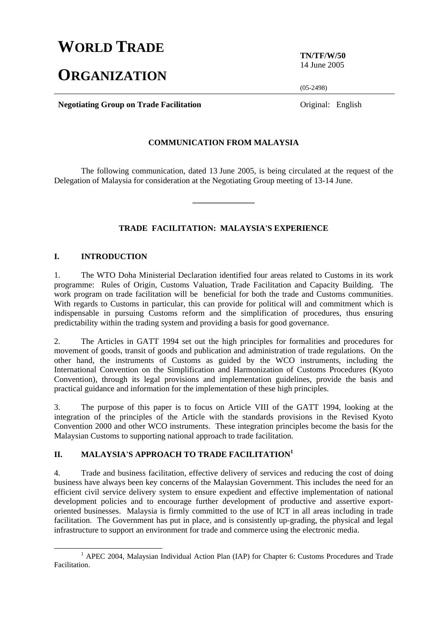# **WORLD TRADE**

# **ORGANIZATION**

**TN/TF/W/50**  14 June 2005

(05-2498)

**Negotiating Group on Trade Facilitation Constanting Constanting Group on Trade Facilitation Constanting Constanting Constanting Constanting Constanting Constanting Constanting Constanting Constanting Constanting Const** 

## **COMMUNICATION FROM MALAYSIA**

 The following communication, dated 13 June 2005, is being circulated at the request of the Delegation of Malaysia for consideration at the Negotiating Group meeting of 13-14 June.

**\_\_\_\_\_\_\_\_\_\_\_\_\_\_\_** 

## **TRADE FACILITATION: MALAYSIA'S EXPERIENCE**

#### **I. INTRODUCTION**

1. The WTO Doha Ministerial Declaration identified four areas related to Customs in its work programme: Rules of Origin, Customs Valuation, Trade Facilitation and Capacity Building. The work program on trade facilitation will be beneficial for both the trade and Customs communities. With regards to Customs in particular, this can provide for political will and commitment which is indispensable in pursuing Customs reform and the simplification of procedures, thus ensuring predictability within the trading system and providing a basis for good governance.

2. The Articles in GATT 1994 set out the high principles for formalities and procedures for movement of goods, transit of goods and publication and administration of trade regulations. On the other hand, the instruments of Customs as guided by the WCO instruments, including the International Convention on the Simplification and Harmonization of Customs Procedures (Kyoto Convention), through its legal provisions and implementation guidelines, provide the basis and practical guidance and information for the implementation of these high principles.

3. The purpose of this paper is to focus on Article VIII of the GATT 1994, looking at the integration of the principles of the Article with the standards provisions in the Revised Kyoto Convention 2000 and other WCO instruments. These integration principles become the basis for the Malaysian Customs to supporting national approach to trade facilitation.

## **II. MALAYSIA'S APPROACH TO TRADE FACILITATION<sup>1</sup>**

4. Trade and business facilitation, effective delivery of services and reducing the cost of doing business have always been key concerns of the Malaysian Government. This includes the need for an efficient civil service delivery system to ensure expedient and effective implementation of national development policies and to encourage further development of productive and assertive exportoriented businesses. Malaysia is firmly committed to the use of ICT in all areas including in trade facilitation. The Government has put in place, and is consistently up-grading, the physical and legal infrastructure to support an environment for trade and commerce using the electronic media.

<sup>&</sup>lt;u>1</u> <sup>1</sup> APEC 2004, Malaysian Individual Action Plan (IAP) for Chapter 6: Customs Procedures and Trade Facilitation.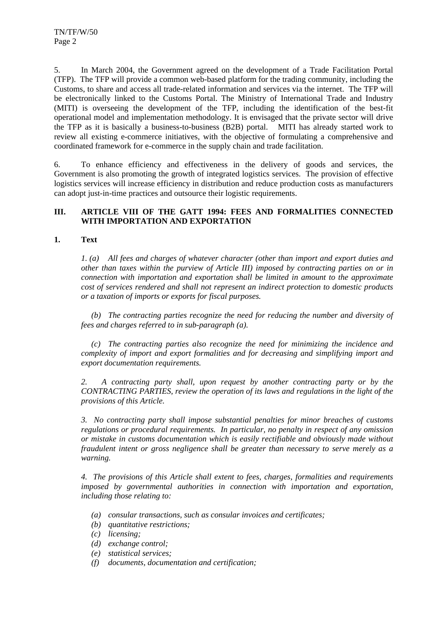5. In March 2004, the Government agreed on the development of a Trade Facilitation Portal (TFP). The TFP will provide a common web-based platform for the trading community, including the Customs, to share and access all trade-related information and services via the internet. The TFP will be electronically linked to the Customs Portal. The Ministry of International Trade and Industry (MITI) is overseeing the development of the TFP, including the identification of the best-fit operational model and implementation methodology. It is envisaged that the private sector will drive the TFP as it is basically a business-to-business (B2B) portal. MITI has already started work to review all existing e-commerce initiatives, with the objective of formulating a comprehensive and coordinated framework for e-commerce in the supply chain and trade facilitation.

6. To enhance efficiency and effectiveness in the delivery of goods and services, the Government is also promoting the growth of integrated logistics services. The provision of effective logistics services will increase efficiency in distribution and reduce production costs as manufacturers can adopt just-in-time practices and outsource their logistic requirements.

## **III. ARTICLE VIII OF THE GATT 1994: FEES AND FORMALITIES CONNECTED WITH IMPORTATION AND EXPORTATION**

## **1. Text**

 *1. (a) All fees and charges of whatever character (other than import and export duties and other than taxes within the purview of Article III) imposed by contracting parties on or in connection with importation and exportation shall be limited in amount to the approximate cost of services rendered and shall not represent an indirect protection to domestic products or a taxation of imports or exports for fiscal purposes.* 

 *(b) The contracting parties recognize the need for reducing the number and diversity of fees and charges referred to in sub-paragraph (a).* 

 *(c) The contracting parties also recognize the need for minimizing the incidence and complexity of import and export formalities and for decreasing and simplifying import and export documentation requirements.* 

 *2. A contracting party shall, upon request by another contracting party or by the CONTRACTING PARTIES, review the operation of its laws and regulations in the light of the provisions of this Article.* 

 *3. No contracting party shall impose substantial penalties for minor breaches of customs regulations or procedural requirements. In particular, no penalty in respect of any omission or mistake in customs documentation which is easily rectifiable and obviously made without fraudulent intent or gross negligence shall be greater than necessary to serve merely as a warning.* 

 *4. The provisions of this Article shall extent to fees, charges, formalities and requirements imposed by governmental authorities in connection with importation and exportation, including those relating to:* 

- *(a) consular transactions, such as consular invoices and certificates;*
- *(b) quantitative restrictions;*
- *(c) licensing;*
- *(d) exchange control;*
- *(e) statistical services;*
- *(f) documents, documentation and certification;*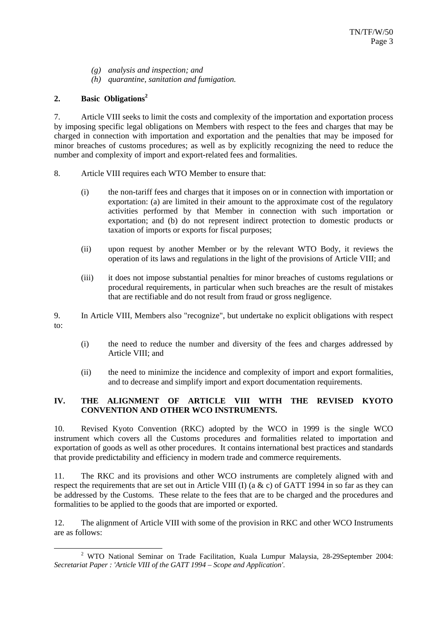- *(g) analysis and inspection; and*
- *(h) quarantine, sanitation and fumigation.*

## **2. Basic Obligations2**

7. Article VIII seeks to limit the costs and complexity of the importation and exportation process by imposing specific legal obligations on Members with respect to the fees and charges that may be charged in connection with importation and exportation and the penalties that may be imposed for minor breaches of customs procedures; as well as by explicitly recognizing the need to reduce the number and complexity of import and export-related fees and formalities.

- 8. Article VIII requires each WTO Member to ensure that:
	- (i) the non-tariff fees and charges that it imposes on or in connection with importation or exportation: (a) are limited in their amount to the approximate cost of the regulatory activities performed by that Member in connection with such importation or exportation; and (b) do not represent indirect protection to domestic products or taxation of imports or exports for fiscal purposes;
	- (ii) upon request by another Member or by the relevant WTO Body, it reviews the operation of its laws and regulations in the light of the provisions of Article VIII; and
	- (iii) it does not impose substantial penalties for minor breaches of customs regulations or procedural requirements, in particular when such breaches are the result of mistakes that are rectifiable and do not result from fraud or gross negligence.
- 9. In Article VIII, Members also "recognize", but undertake no explicit obligations with respect to:
	- (i) the need to reduce the number and diversity of the fees and charges addressed by Article VIII; and
	- (ii) the need to minimize the incidence and complexity of import and export formalities, and to decrease and simplify import and export documentation requirements.

## **IV. THE ALIGNMENT OF ARTICLE VIII WITH THE REVISED KYOTO CONVENTION AND OTHER WCO INSTRUMENTS.**

10. Revised Kyoto Convention (RKC) adopted by the WCO in 1999 is the single WCO instrument which covers all the Customs procedures and formalities related to importation and exportation of goods as well as other procedures. It contains international best practices and standards that provide predictability and efficiency in modern trade and commerce requirements.

11. The RKC and its provisions and other WCO instruments are completely aligned with and respect the requirements that are set out in Article VIII (I) (a  $\& c$ ) of GATT 1994 in so far as they can be addressed by the Customs. These relate to the fees that are to be charged and the procedures and formalities to be applied to the goods that are imported or exported.

12. The alignment of Article VIII with some of the provision in RKC and other WCO Instruments are as follows:

 $\overline{\phantom{a}}$  WTO National Seminar on Trade Facilitation, Kuala Lumpur Malaysia, 28-29September 2004: *Secretariat Paper : 'Article VIII of the GATT 1994 – Scope and Application'*.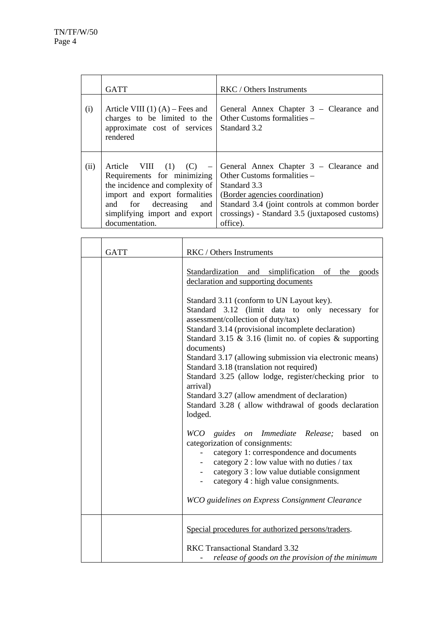|      | <b>GATT</b>                                                                                                                                                                                                                             | RKC / Others Instruments                                                                                                                                                                          |
|------|-----------------------------------------------------------------------------------------------------------------------------------------------------------------------------------------------------------------------------------------|---------------------------------------------------------------------------------------------------------------------------------------------------------------------------------------------------|
| (i)  | Article VIII $(1)$ $(A)$ – Fees and<br>charges to be limited to the<br>approximate cost of services<br>rendered                                                                                                                         | General Annex Chapter 3 – Clearance and<br>Other Customs formalities -<br>Standard 3.2                                                                                                            |
| (ii) | Requirements for minimizing Other Customs formalities –<br>the incidence and complexity of<br>import and export formalities (Border agencies coordination)<br>and for decreasing and<br>simplifying import and export<br>documentation. | Article VIII $(1)$ $(C)$ – General Annex Chapter 3 – Clearance and<br>Standard 3.3<br>Standard 3.4 (joint controls at common border<br>crossings) - Standard 3.5 (juxtaposed customs)<br>office). |

| <b>GATT</b> | RKC / Others Instruments                                                                                                                                                                                                                                                                                                                                                                                                                                                                                                                                                     |
|-------------|------------------------------------------------------------------------------------------------------------------------------------------------------------------------------------------------------------------------------------------------------------------------------------------------------------------------------------------------------------------------------------------------------------------------------------------------------------------------------------------------------------------------------------------------------------------------------|
|             | Standardization and simplification of the goods<br>declaration and supporting documents                                                                                                                                                                                                                                                                                                                                                                                                                                                                                      |
|             | Standard 3.11 (conform to UN Layout key).<br>Standard 3.12 (limit data to only necessary for<br>assessment/collection of duty/tax)<br>Standard 3.14 (provisional incomplete declaration)<br>Standard 3.15 $\&$ 3.16 (limit no. of copies $\&$ supporting<br>documents)<br>Standard 3.17 (allowing submission via electronic means)<br>Standard 3.18 (translation not required)<br>Standard 3.25 (allow lodge, register/checking prior<br>to<br>arrival)<br>Standard 3.27 (allow amendment of declaration)<br>Standard 3.28 (allow withdrawal of goods declaration<br>lodged. |
|             | WCO guides on Immediate Release; based<br>on<br>categorization of consignments:<br>category 1: correspondence and documents<br>category 2 : low value with no duties / tax<br>category 3 : low value dutiable consignment<br>category 4 : high value consignments.<br>WCO guidelines on Express Consignment Clearance                                                                                                                                                                                                                                                        |
|             | Special procedures for authorized persons/traders.<br>RKC Transactional Standard 3.32<br>release of goods on the provision of the minimum                                                                                                                                                                                                                                                                                                                                                                                                                                    |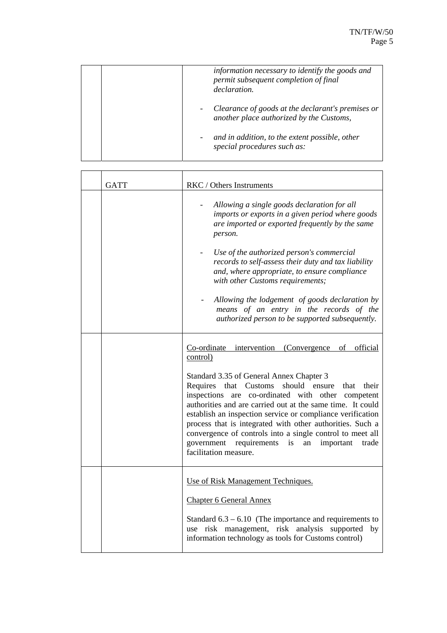| information necessary to identify the goods and<br>permit subsequent completion of final<br>declaration. |
|----------------------------------------------------------------------------------------------------------|
| Clearance of goods at the declarant's premises or<br>another place authorized by the Customs,            |
| and in addition, to the extent possible, other<br>special procedures such as:                            |

| <b>GATT</b> | RKC / Others Instruments                                                                                                                                                                                                                                                                                                                                                                                                                                                                                                                                                       |
|-------------|--------------------------------------------------------------------------------------------------------------------------------------------------------------------------------------------------------------------------------------------------------------------------------------------------------------------------------------------------------------------------------------------------------------------------------------------------------------------------------------------------------------------------------------------------------------------------------|
|             | Allowing a single goods declaration for all<br>imports or exports in a given period where goods<br>are imported or exported frequently by the same<br>person.<br>Use of the authorized person's commercial<br>records to self-assess their duty and tax liability<br>and, where appropriate, to ensure compliance<br>with other Customs requirements;<br>Allowing the lodgement of goods declaration by<br>means of an entry in the records of the<br>authorized person to be supported subsequently.                                                                          |
|             | Co-ordinate intervention (Convergence of<br>official<br>control)<br>Standard 3.35 of General Annex Chapter 3<br>that Customs<br>Requires<br>should ensure<br>their<br>that<br>are co-ordinated with other competent<br>inspections<br>authorities and are carried out at the same time. It could<br>establish an inspection service or compliance verification<br>process that is integrated with other authorities. Such a<br>convergence of controls into a single control to meet all<br>government requirements<br>is<br>important<br>an<br>trade<br>facilitation measure. |
|             | Use of Risk Management Techniques.<br><b>Chapter 6 General Annex</b><br>Standard $6.3 - 6.10$ (The importance and requirements to<br>use risk management, risk analysis<br>supported<br>by<br>information technology as tools for Customs control)                                                                                                                                                                                                                                                                                                                             |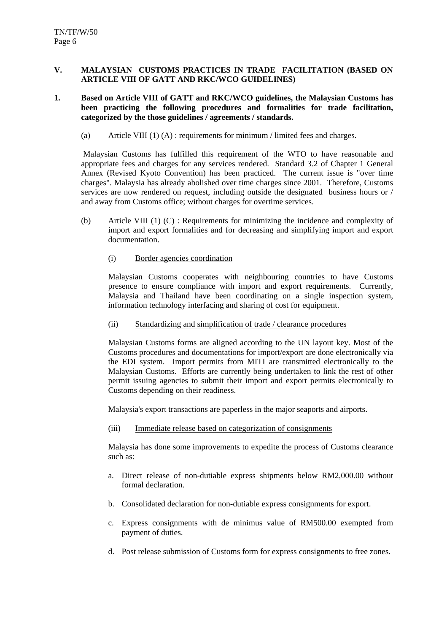## **V. MALAYSIAN CUSTOMS PRACTICES IN TRADE FACILITATION (BASED ON ARTICLE VIII OF GATT AND RKC/WCO GUIDELINES)**

## **1. Based on Article VIII of GATT and RKC/WCO guidelines, the Malaysian Customs has been practicing the following procedures and formalities for trade facilitation, categorized by the those guidelines / agreements / standards.**

(a) Article VIII (1) (A) : requirements for minimum / limited fees and charges.

 Malaysian Customs has fulfilled this requirement of the WTO to have reasonable and appropriate fees and charges for any services rendered. Standard 3.2 of Chapter 1 General Annex (Revised Kyoto Convention) has been practiced. The current issue is "over time charges". Malaysia has already abolished over time charges since 2001. Therefore, Customs services are now rendered on request, including outside the designated business hours or / and away from Customs office; without charges for overtime services.

(b) Article VIII (1) (C) : Requirements for minimizing the incidence and complexity of import and export formalities and for decreasing and simplifying import and export documentation.

## (i) Border agencies coordination

Malaysian Customs cooperates with neighbouring countries to have Customs presence to ensure compliance with import and export requirements. Currently, Malaysia and Thailand have been coordinating on a single inspection system, information technology interfacing and sharing of cost for equipment.

## (ii) Standardizing and simplification of trade / clearance procedures

Malaysian Customs forms are aligned according to the UN layout key. Most of the Customs procedures and documentations for import/export are done electronically via the EDI system. Import permits from MITI are transmitted electronically to the Malaysian Customs. Efforts are currently being undertaken to link the rest of other permit issuing agencies to submit their import and export permits electronically to Customs depending on their readiness.

Malaysia's export transactions are paperless in the major seaports and airports.

(iii) Immediate release based on categorization of consignments

Malaysia has done some improvements to expedite the process of Customs clearance such as:

- a. Direct release of non-dutiable express shipments below RM2,000.00 without formal declaration.
- b. Consolidated declaration for non-dutiable express consignments for export.
- c. Express consignments with de minimus value of RM500.00 exempted from payment of duties.
- d. Post release submission of Customs form for express consignments to free zones.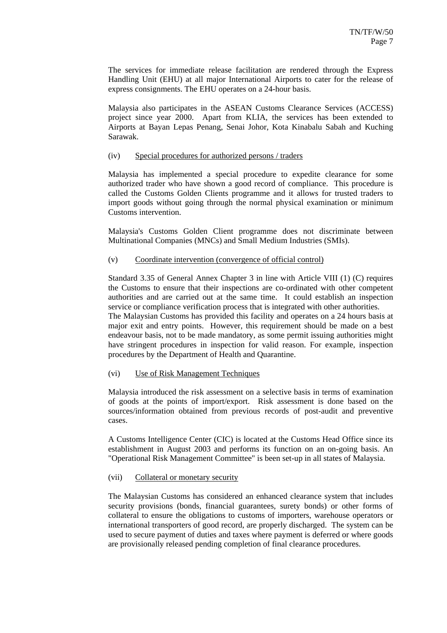The services for immediate release facilitation are rendered through the Express Handling Unit (EHU) at all major International Airports to cater for the release of express consignments. The EHU operates on a 24-hour basis.

Malaysia also participates in the ASEAN Customs Clearance Services (ACCESS) project since year 2000. Apart from KLIA, the services has been extended to Airports at Bayan Lepas Penang, Senai Johor, Kota Kinabalu Sabah and Kuching Sarawak.

#### (iv) Special procedures for authorized persons / traders

Malaysia has implemented a special procedure to expedite clearance for some authorized trader who have shown a good record of compliance. This procedure is called the Customs Golden Clients programme and it allows for trusted traders to import goods without going through the normal physical examination or minimum Customs intervention.

Malaysia's Customs Golden Client programme does not discriminate between Multinational Companies (MNCs) and Small Medium Industries (SMIs).

## (v) Coordinate intervention (convergence of official control)

Standard 3.35 of General Annex Chapter 3 in line with Article VIII (1) (C) requires the Customs to ensure that their inspections are co-ordinated with other competent authorities and are carried out at the same time. It could establish an inspection service or compliance verification process that is integrated with other authorities.

The Malaysian Customs has provided this facility and operates on a 24 hours basis at major exit and entry points. However, this requirement should be made on a best endeavour basis, not to be made mandatory, as some permit issuing authorities might have stringent procedures in inspection for valid reason. For example, inspection procedures by the Department of Health and Quarantine.

## (vi) Use of Risk Management Techniques

Malaysia introduced the risk assessment on a selective basis in terms of examination of goods at the points of import/export. Risk assessment is done based on the sources/information obtained from previous records of post-audit and preventive cases.

A Customs Intelligence Center (CIC) is located at the Customs Head Office since its establishment in August 2003 and performs its function on an on-going basis. An "Operational Risk Management Committee" is been set-up in all states of Malaysia.

## (vii) Collateral or monetary security

The Malaysian Customs has considered an enhanced clearance system that includes security provisions (bonds, financial guarantees, surety bonds) or other forms of collateral to ensure the obligations to customs of importers, warehouse operators or international transporters of good record, are properly discharged. The system can be used to secure payment of duties and taxes where payment is deferred or where goods are provisionally released pending completion of final clearance procedures.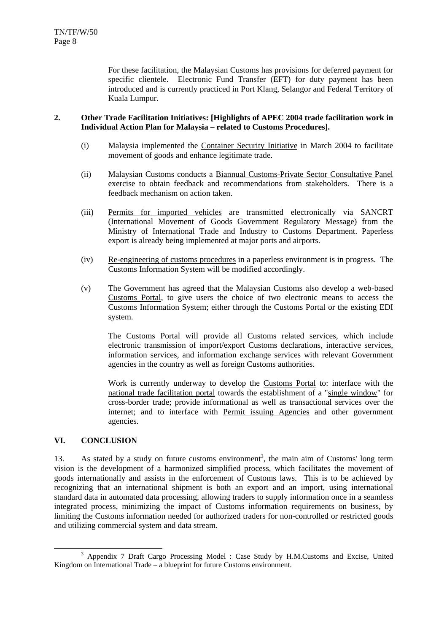For these facilitation, the Malaysian Customs has provisions for deferred payment for specific clientele. Electronic Fund Transfer (EFT) for duty payment has been introduced and is currently practiced in Port Klang, Selangor and Federal Territory of Kuala Lumpur.

## **2. Other Trade Facilitation Initiatives: [Highlights of APEC 2004 trade facilitation work in Individual Action Plan for Malaysia – related to Customs Procedures].**

- (i) Malaysia implemented the Container Security Initiative in March 2004 to facilitate movement of goods and enhance legitimate trade.
- (ii) Malaysian Customs conducts a Biannual Customs-Private Sector Consultative Panel exercise to obtain feedback and recommendations from stakeholders. There is a feedback mechanism on action taken.
- (iii) Permits for imported vehicles are transmitted electronically via SANCRT (International Movement of Goods Government Regulatory Message) from the Ministry of International Trade and Industry to Customs Department. Paperless export is already being implemented at major ports and airports.
- (iv) Re-engineering of customs procedures in a paperless environment is in progress. The Customs Information System will be modified accordingly.
- (v) The Government has agreed that the Malaysian Customs also develop a web-based Customs Portal, to give users the choice of two electronic means to access the Customs Information System; either through the Customs Portal or the existing EDI system.

The Customs Portal will provide all Customs related services, which include electronic transmission of import/export Customs declarations, interactive services, information services, and information exchange services with relevant Government agencies in the country as well as foreign Customs authorities.

Work is currently underway to develop the Customs Portal to: interface with the national trade facilitation portal towards the establishment of a "single window" for cross-border trade; provide informational as well as transactional services over the internet; and to interface with Permit issuing Agencies and other government agencies.

## **VI. CONCLUSION**

13. As stated by a study on future customs environment<sup>3</sup>, the main aim of Customs' long term vision is the development of a harmonized simplified process, which facilitates the movement of goods internationally and assists in the enforcement of Customs laws. This is to be achieved by recognizing that an international shipment is both an export and an import, using international standard data in automated data processing, allowing traders to supply information once in a seamless integrated process, minimizing the impact of Customs information requirements on business, by limiting the Customs information needed for authorized traders for non-controlled or restricted goods and utilizing commercial system and data stream.

 <sup>3</sup> <sup>3</sup> Appendix 7 Draft Cargo Processing Model : Case Study by H.M.Customs and Excise, United Kingdom on International Trade – a blueprint for future Customs environment.